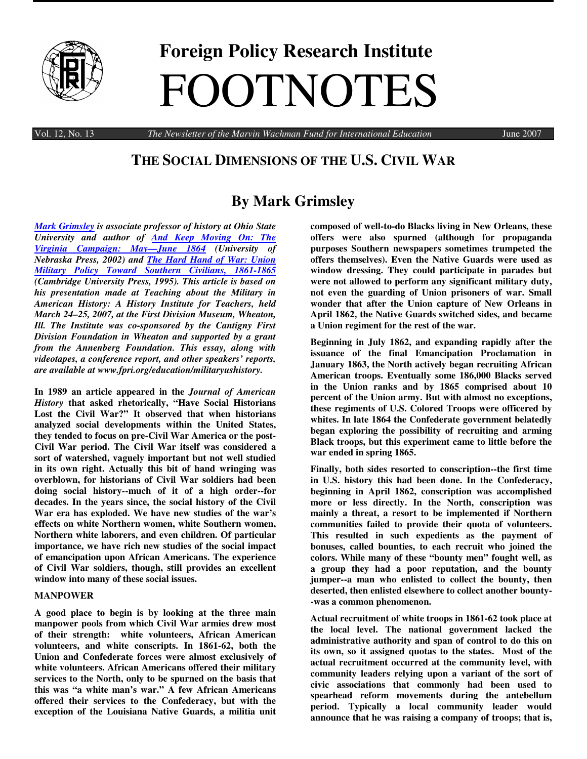

# **Foreign Policy Research Institute** FOOTNOTES

Vol. 12, No. 13 *The Newsletter of the Marvin Wachman Fund for International Education* June 2007

### **THE SOCIAL DIMENSIONS OF THE U.S. CIVIL WAR**

## **By Mark Grimsley**

*Mark Grimsley is associate professor of history at Ohio State University and author of And Keep Moving On: The Virginia Campaign: May—June 1864 (University of Nebraska Press, 2002) and The Hard Hand of War: Union Military Policy Toward Southern Civilians, 1861-1865 (Cambridge University Press, 1995). This article is based on his presentation made at Teaching about the Military in American History: A History Institute for Teachers, held March 24–25, 2007, at the First Division Museum, Wheaton, Ill. The Institute was co-sponsored by the Cantigny First Division Foundation in Wheaton and supported by a grant from the Annenberg Foundation. This essay, along with videotapes, a conference report, and other speakers' reports, are available at www.fpri.org/education/militaryushistory.*

**In 1989 an article appeared in the** *Journal of American History* **that asked rhetorically, "Have Social Historians Lost the Civil War?" It observed that when historians analyzed social developments within the United States, they tended to focus on pre-Civil War America or the post-Civil War period. The Civil War itself was considered a sort of watershed, vaguely important but not well studied in its own right. Actually this bit of hand wringing was overblown, for historians of Civil War soldiers had been doing social history--much of it of a high order--for decades. In the years since, the social history of the Civil War era has exploded. We have new studies of the war's effects on white Northern women, white Southern women, Northern white laborers, and even children. Of particular importance, we have rich new studies of the social impact of emancipation upon African Americans. The experience of Civil War soldiers, though, still provides an excellent window into many of these social issues.**

#### **MANPOWER**

**A good place to begin is by looking at the three main manpower pools from which Civil War armies drew most of their strength: white volunteers, African American volunteers, and white conscripts. In 1861-62, both the Union and Confederate forces were almost exclusively of white volunteers. African Americans offered their military services to the North, only to be spurned on the basis that this was "a white man's war." A few African Americans offered their services to the Confederacy, but with the exception of the Louisiana Native Guards, a militia unit**

**composed of well-to-do Blacks living in New Orleans, these offers were also spurned (although for propaganda purposes Southern newspapers sometimes trumpeted the offers themselves). Even the Native Guards were used as window dressing. They could participate in parades but were not allowed to perform any significant military duty, not even the guarding of Union prisoners of war. Small wonder that after the Union capture of New Orleans in April 1862, the Native Guards switched sides, and became a Union regiment for the rest of the war.**

**Beginning in July 1862, and expanding rapidly after the issuance of the final Emancipation Proclamation in January 1863, the North actively began recruiting African American troops. Eventually some 186,000 Blacks served in the Union ranks and by 1865 comprised about 10 percent of the Union army. But with almost no exceptions, these regiments of U.S. Colored Troops were officered by whites. In late 1864 the Confederate government belatedly began exploring the possibility of recruiting and arming Black troops, but this experiment came to little before the war ended in spring 1865.**

**Finally, both sides resorted to conscription--the first time in U.S. history this had been done. In the Confederacy, beginning in April 1862, conscription was accomplished more or less directly. In the North, conscription was mainly a threat, a resort to be implemented if Northern communities failed to provide their quota of volunteers. This resulted in such expedients as the payment of bonuses, called bounties, to each recruit who joined the colors. While many of these "bounty men" fought well, as a group they had a poor reputation, and the bounty jumper--a man who enlisted to collect the bounty, then deserted, then enlisted elsewhere to collect another bounty- -was a common phenomenon.**

**Actual recruitment of white troops in 1861-62 took place at the local level. The national government lacked the administrative authority and span of control to do this on its own, so it assigned quotas to the states. Most of the actual recruitment occurred at the community level, with community leaders relying upon a variant of the sort of civic associations that commonly had been used to spearhead reform movements during the antebellum period. Typically a local community leader would announce that he was raising a company of troops; that is,**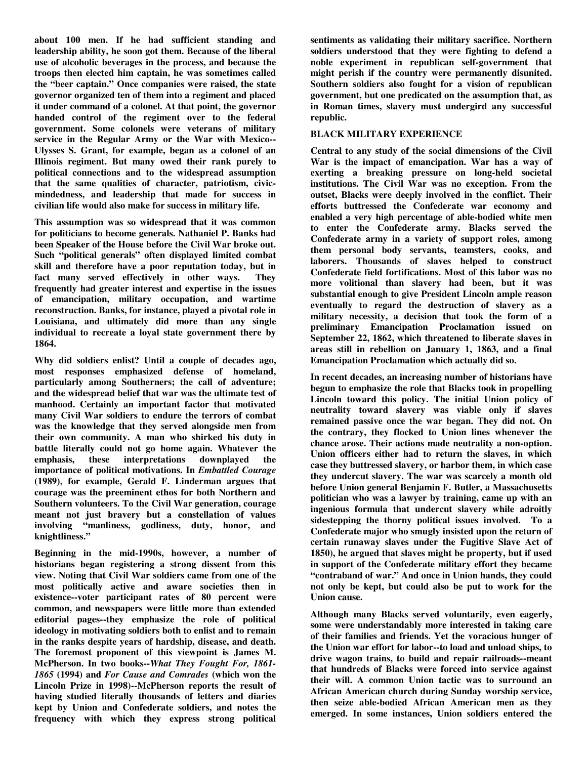**about 100 men. If he had sufficient standing and leadership ability, he soon got them. Because of the liberal use of alcoholic beverages in the process, and because the troops then elected him captain, he was sometimes called the "beer captain." Once companies were raised, the state governor organized ten of them into a regiment and placed it under command of a colonel. At that point, the governor handed control of the regiment over to the federal government. Some colonels were veterans of military service in the Regular Army or the War with Mexico-- Ulysses S. Grant, for example, began as a colonel of an Illinois regiment. But many owed their rank purely to political connections and to the widespread assumption that the same qualities of character, patriotism, civicmindedness, and leadership that made for success in civilian life would also make for success in military life.**

**This assumption was so widespread that it was common for politicians to become generals. Nathaniel P. Banks had been Speaker of the House before the Civil War broke out. Such "political generals" often displayed limited combat skill and therefore have a poor reputation today, but in fact many served effectively in other ways. They frequently had greater interest and expertise in the issues of emancipation, military occupation, and wartime reconstruction. Banks, for instance, played a pivotal role in Louisiana, and ultimately did more than any single individual to recreate a loyal state government there by 1864.**

**Why did soldiers enlist? Until a couple of decades ago, most responses emphasized defense of homeland, particularly among Southerners; the call of adventure; and the widespread belief that war was the ultimate test of manhood. Certainly an important factor that motivated many Civil War soldiers to endure the terrors of combat was the knowledge that they served alongside men from their own community. A man who shirked his duty in battle literally could not go home again. Whatever the emphasis, these interpretations downplayed the importance of political motivations. In** *Embattled Courage* **(1989), for example, Gerald F. Linderman argues that courage was the preeminent ethos for both Northern and Southern volunteers. To the Civil War generation, courage meant not just bravery but a constellation of values involving "manliness, godliness, duty, honor, and knightliness."**

**Beginning in the mid-1990s, however, a number of historians began registering a strong dissent from this view. Noting that Civil War soldiers came from one of the most politically active and aware societies then in existence--voter participant rates of 80 percent were common, and newspapers were little more than extended editorial pages--they emphasize the role of political ideology in motivating soldiers both to enlist and to remain in the ranks despite years of hardship, disease, and death. The foremost proponent of this viewpoint is James M. McPherson. In two books--***What They Fought For, 1861- 1865* **(1994) and** *For Cause and Comrades* **(which won the Lincoln Prize in 1998)--McPherson reports the result of having studied literally thousands of letters and diaries kept by Union and Confederate soldiers, and notes the frequency with which they express strong political**

**sentiments as validating their military sacrifice. Northern soldiers understood that they were fighting to defend a noble experiment in republican self-government that might perish if the country were permanently disunited. Southern soldiers also fought for a vision of republican government, but one predicated on the assumption that, as in Roman times, slavery must undergird any successful republic.**

#### **BLACK MILITARY EXPERIENCE**

**Central to any study of the social dimensions of the Civil War is the impact of emancipation. War has a way of exerting a breaking pressure on long-held societal institutions. The Civil War was no exception. From the outset, Blacks were deeply involved in the conflict. Their efforts buttressed the Confederate war economy and enabled a very high percentage of able-bodied white men to enter the Confederate army. Blacks served the Confederate army in a variety of support roles, among them personal body servants, teamsters, cooks, and laborers. Thousands of slaves helped to construct Confederate field fortifications. Most of this labor was no more volitional than slavery had been, but it was substantial enough to give President Lincoln ample reason eventually to regard the destruction of slavery as a military necessity, a decision that took the form of a preliminary Emancipation Proclamation issued on September 22, 1862, which threatened to liberate slaves in areas still in rebellion on January 1, 1863, and a final Emancipation Proclamation which actually did so.**

**In recent decades, an increasing number of historians have begun to emphasize the role that Blacks took in propelling Lincoln toward this policy. The initial Union policy of neutrality toward slavery was viable only if slaves remained passive once the war began. They did not. On the contrary, they flocked to Union lines whenever the chance arose. Their actions made neutrality a non-option. Union officers either had to return the slaves, in which case they buttressed slavery, or harbor them, in which case they undercut slavery. The war was scarcely a month old before Union general Benjamin F. Butler, a Massachusetts politician who was a lawyer by training, came up with an ingenious formula that undercut slavery while adroitly sidestepping the thorny political issues involved. To a Confederate major who smugly insisted upon the return of certain runaway slaves under the Fugitive Slave Act of 1850), he argued that slaves might be property, but if used in support of the Confederate military effort they became "contraband of war." And once in Union hands, they could not only be kept, but could also be put to work for the Union cause.**

**Although many Blacks served voluntarily, even eagerly, some were understandably more interested in taking care of their families and friends. Yet the voracious hunger of the Union war effort for labor--to load and unload ships, to drive wagon trains, to build and repair railroads--meant that hundreds of Blacks were forced into service against their will. A common Union tactic was to surround an African American church during Sunday worship service, then seize able-bodied African American men as they emerged. In some instances, Union soldiers entered the**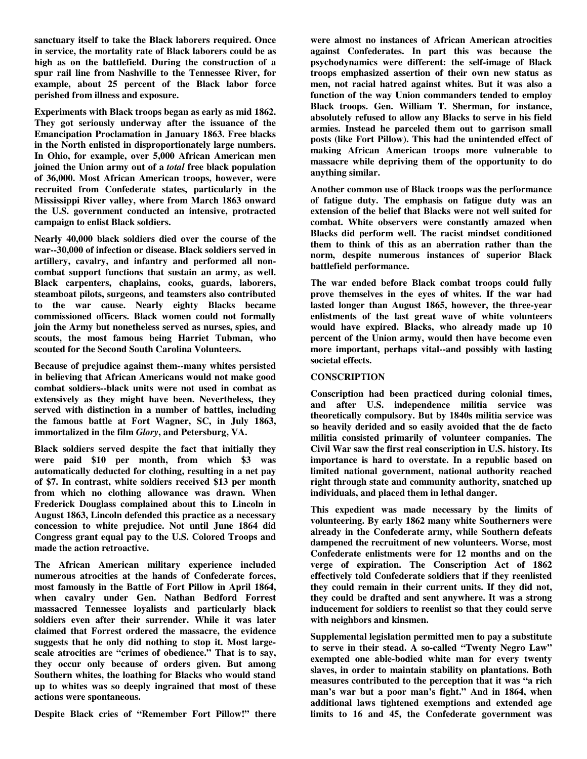**sanctuary itself to take the Black laborers required. Once in service, the mortality rate of Black laborers could be as high as on the battlefield. During the construction of a spur rail line from Nashville to the Tennessee River, for example, about 25 percent of the Black labor force perished from illness and exposure.**

**Experiments with Black troops began as early as mid 1862. They got seriously underway after the issuance of the Emancipation Proclamation in January 1863. Free blacks in the North enlisted in disproportionately large numbers. In Ohio, for example, over 5,000 African American men joined the Union army out of a** *total* **free black population of 36,000. Most African American troops, however, were recruited from Confederate states, particularly in the Mississippi River valley, where from March 1863 onward the U.S. government conducted an intensive, protracted campaign to enlist Black soldiers.**

**Nearly 40,000 black soldiers died over the course of the war--30,000 of infection or disease. Black soldiers served in artillery, cavalry, and infantry and performed all noncombat support functions that sustain an army, as well. Black carpenters, chaplains, cooks, guards, laborers, steamboat pilots, surgeons, and teamsters also contributed to the war cause. Nearly eighty Blacks became commissioned officers. Black women could not formally join the Army but nonetheless served as nurses, spies, and scouts, the most famous being Harriet Tubman, who scouted for the Second South Carolina Volunteers.**

**Because of prejudice against them--many whites persisted in believing that African Americans would not make good combat soldiers--black units were not used in combat as extensively as they might have been. Nevertheless, they served with distinction in a number of battles, including the famous battle at Fort Wagner, SC, in July 1863, immortalized in the film** *Glory***, and Petersburg, VA.**

**Black soldiers served despite the fact that initially they were paid \$10 per month, from which \$3 was automatically deducted for clothing, resulting in a net pay of \$7. In contrast, white soldiers received \$13 per month from which no clothing allowance was drawn. When Frederick Douglass complained about this to Lincoln in August 1863, Lincoln defended this practice as a necessary concession to white prejudice. Not until June 1864 did Congress grant equal pay to the U.S. Colored Troops and made the action retroactive.**

**The African American military experience included numerous atrocities at the hands of Confederate forces, most famously in the Battle of Fort Pillow in April 1864, when cavalry under Gen. Nathan Bedford Forrest massacred Tennessee loyalists and particularly black soldiers even after their surrender. While it was later claimed that Forrest ordered the massacre, the evidence suggests that he only did nothing to stop it. Most largescale atrocities are "crimes of obedience." That is to say, they occur only because of orders given. But among Southern whites, the loathing for Blacks who would stand up to whites was so deeply ingrained that most of these actions were spontaneous.**

**Despite Black cries of "Remember Fort Pillow!" there**

**were almost no instances of African American atrocities against Confederates. In part this was because the psychodynamics were different: the self-image of Black troops emphasized assertion of their own new status as men, not racial hatred against whites. But it was also a function of the way Union commanders tended to employ Black troops. Gen. William T. Sherman, for instance, absolutely refused to allow any Blacks to serve in his field armies. Instead he parceled them out to garrison small posts (like Fort Pillow). This had the unintended effect of making African American troops more vulnerable to massacre while depriving them of the opportunity to do anything similar.**

**Another common use of Black troops was the performance of fatigue duty. The emphasis on fatigue duty was an extension of the belief that Blacks were not well suited for combat. White observers were constantly amazed when Blacks did perform well. The racist mindset conditioned them to think of this as an aberration rather than the norm, despite numerous instances of superior Black battlefield performance.**

**The war ended before Black combat troops could fully prove themselves in the eyes of whites. If the war had lasted longer than August 1865, however, the three-year enlistments of the last great wave of white volunteers would have expired. Blacks, who already made up 10 percent of the Union army, would then have become even more important, perhaps vital--and possibly with lasting societal effects.**

#### **CONSCRIPTION**

**Conscription had been practiced during colonial times, and after U.S. independence militia service was theoretically compulsory. But by 1840s militia service was so heavily derided and so easily avoided that the de facto militia consisted primarily of volunteer companies. The Civil War saw the first real conscription in U.S. history. Its importance is hard to overstate. In a republic based on limited national government, national authority reached right through state and community authority, snatched up individuals, and placed them in lethal danger.**

**This expedient was made necessary by the limits of volunteering. By early 1862 many white Southerners were already in the Confederate army, while Southern defeats dampened the recruitment of new volunteers. Worse, most Confederate enlistments were for 12 months and on the verge of expiration. The Conscription Act of 1862 effectively told Confederate soldiers that if they reenlisted they could remain in their current units. If they did not, they could be drafted and sent anywhere. It was a strong inducement for soldiers to reenlist so that they could serve with neighbors and kinsmen.**

**Supplemental legislation permitted men to pay a substitute to serve in their stead. A so-called "Twenty Negro Law" exempted one able-bodied white man for every twenty slaves, in order to maintain stability on plantations. Both measures contributed to the perception that it was "a rich man's war but a poor man's fight." And in 1864, when additional laws tightened exemptions and extended age limits to 16 and 45, the Confederate government was**